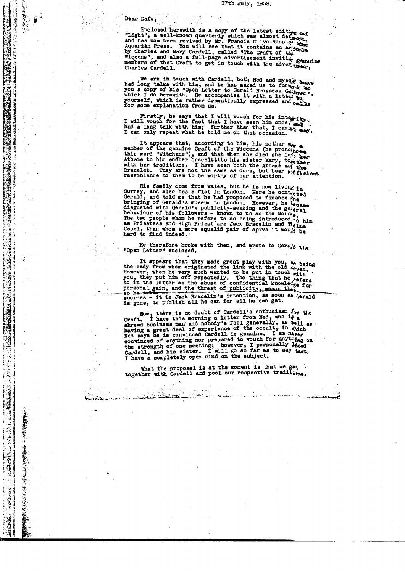## 17th July, 1958.

## Dear Dafo,

李亮

のことに、このことには、このことには、このことには、このことには、このことには、このことには、このことには、このことには、このことには、このことには、このことには、このことには、このことには、このことには、このことには、このことには、このことには、このことには、このことには、このことには、このことには、このことには、このことには、このことには、このことには、このことには、このことには、このことには、このことには、このことには、このことに

「SPANO」の「SPANO」の「SPANO」の「SPANO」ということが、「SPANO」の「SPANO」ということに、「SPANO」ということに、「SPANO」ということに、「SPANO」ということ

**トラートにおける (電話)開発を受ける** 

海道道德

医红八角杆菌

ý,

Enclosed herewith is a copy of the latest editive of Enclosed herewith is a copy of the latest edition of "Light", a well-known quarterly which was almost defined and has now been revived by Mr. Francis Clive-Ross of the Aquarian Press. You will see that it contains an anti

We are in touch with Cardell, both Ned and mysele wave we are in touch with Cardell, both Ned and mysele based<br>had long takes with him, and he has asked us to forward to which I do herewith. He accompanies it with a letter which I do herewith. He accompanies it with a letter b

Firstly, he says that I will vouch for his integrator.<br>I will vouch for the fact that I have seen him once, which had a long talk with him; further than that, I can get I can only repeat what he told me on that occasion.

It appears that, according to him, his mother was member of the genuine Craft of the Wiccens (he pronounces) where to him andher braceletto his sister Mary, together with her traditions. I have seen both the Athane and the structure with the traditions. I have seen both the Athane and the Bracelet. They are not the same as ours,

His family come from Wales, but he is now living in<br>Surrey, and also has a flat in London. Here he controled<br>Gerald, and told me that he had proposed to finance the<br>bringing of Gerald's museum to London. However, he seemed

He therefore broke with them, and wrote to Gerald the "Open Letter" enclosed.

It appears that they made great play with you,  $\ell_0$  being<br>the lady from whom originated the link with the old  $\frac{C}{T}$ <br>However, when he very much wanted to be put in touch with<br>you, they put him off repeatedly. The thin so .ne sources - it is Jack Bracelin's intention, as soon as Gerald is gone, to publish all he can for all he can get. ao be <del>ver</del>

Now, there is no doubt of Cardell's enthusiasm for the Craft. I have this morning a letter from Ned, who is a shrewd business man and nobody's fool generally, as well as having a great deal of experience of the occult, in

What the proposal is at the moment is that we get together with Cardell and pool our respective traditions.

يعدج الحاجل

لواركي والمراق

And a straightful contained the same of the same of the same of the same of the same of the same of the same of the same of the same of the same of the same of the same of the same of the same of the same of the same of th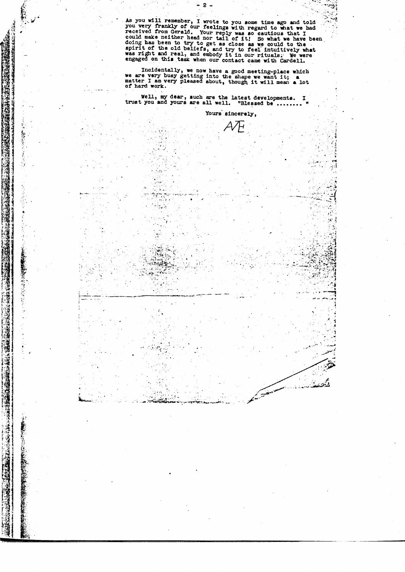As you will remember, I wrote to you some time ago and told<br>you very frankly of our feelings with regard to what we had<br>received from Gerald. Your reply was so cautious that I<br>could make neither head nor tail of it! So wha

- 2

经最终

Ń

「そのことに、このことに、このことに、このことは、このことは、このことに、このことに、このことに、このことに、このことに、このことに、このことに、このことに、このことに、このことに、このことに、このことに、このことに、このことに、このことに、このことに、このことに、このことに、このことに、このことに、このことに、このことに、このことに、このことに、このことに、このことに、このことに、このことに、このことに、このことに、このことに、この

Incidentally, we now have a good meeting-place which<br>we are very busy getting into the shape we want it; a<br>matter I am very pleased about, though it will mean a lot<br>of hard work.

Well, my dear, such are the latest developments. I trust you and yours are all well. "Blessed be ........

Yours sincerely,

ار<br>ماهيا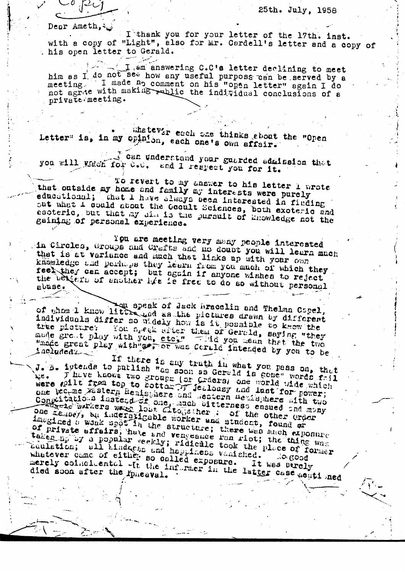## 25th. July, 1958

Dear Ameth,

I thank you for your letter of the 17th. inst. with a copy of "Light", also for Mr. Cardell's letter and a copy of . his open letter to Gerald.

I am answering C.C's letter declining to meet him as I do not see how any useful purpose can be served by a meeting. I made no comment on his "open letter" again I do not agrie with making public the individual conclusions of a private meeting.

whatever each one thinks about the "Open Letter" is, in my opinion, each one's own affair.

I can understand your guarded admission that you will yest for C.C. and I respect you for it.

To revert to my answer to his letter I wrote that outside my home and family my interests were purely educational; that I have always been interested in finding out what I could about the Gooult Sciences, both exoteric and esoteric, but that my minits the pursuit of knowledge not the gaining of personal experience.

You are meeting very many people interested in Circles, Groups and Crafts and no doubt you will learn much that is at variance and much that links up with your own knowledge and parkers they learn from you much of which they feel they can accept; but again if anyone wishes to reject the bestern of enother life is free to do so without personal

you speak of Jack Bracelin and Thelma Capel, of whom I know little and as the pictures drawn by different individuals differ so widely how is it possible to know the that viewing altres so wheny now is to possible to amow the transferred the platter of the platter of the platter of the platter of the same in made great play with you, etc." This you head that the two "made great play wi

If there is any truth in what you pass on, that J. B. intends to publish was soon as Gereld is gone" words fail Le. Theve knows two groups (or Crders) one world wide which<br>were split from top to bottom of Jealousy and last for power;<br>one became wastern Remisphere and destern Healsphere with two Ongoitations instead of one, much bitterness ensued and mony one rempers bu indefaitgable worker and student, found are imagined a wank spot in the structure; there was much exposure of private effairs, have and vengeance ron riot; the thing was taken ho by a popular weekly; ridicule took the place of former couletion; all kindness and happiness vanished. Rogood whatever came of either so colled exposure. merely coldellental of the informer in the latter case weationed